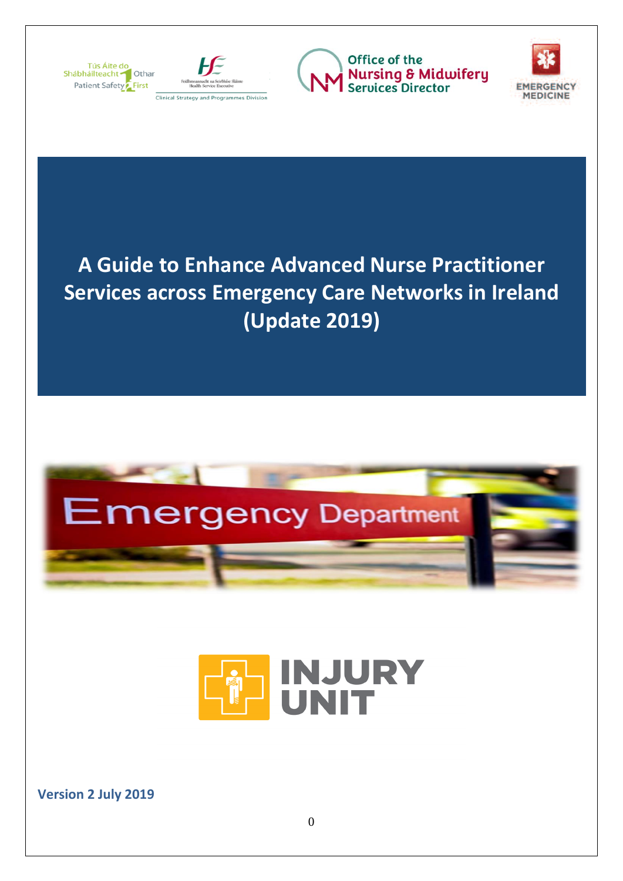



<span id="page-0-0"></span>Office of the **Nursing & Midwifery**<br>Services Director



# **A Guide to Enhance Advanced Nurse Practitioner Services across Emergency Care Networks in Ireland (Update 2019)**





**Version 2 July 2019**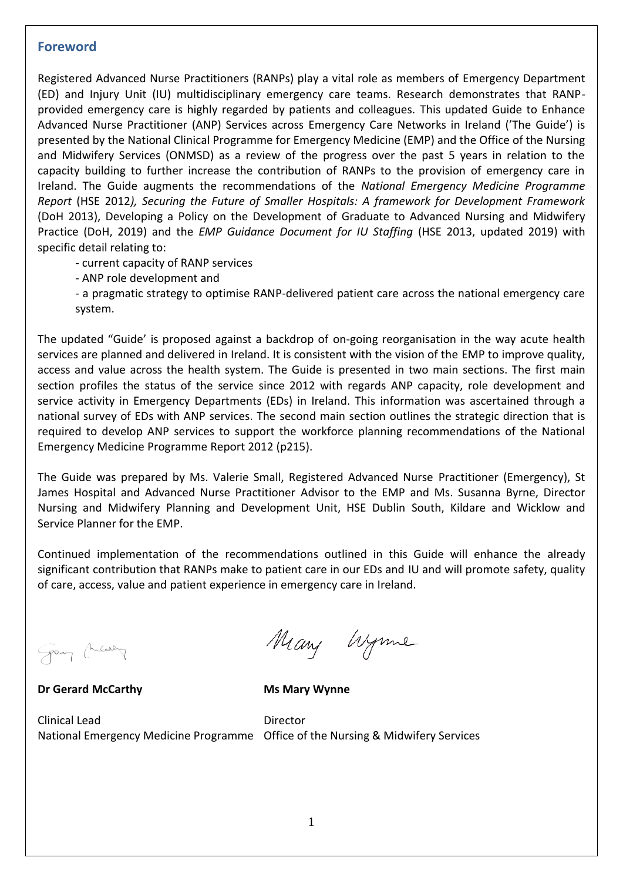#### **Foreword**

Registered Advanced Nurse Practitioners (RANPs) play a vital role as members of Emergency Department (ED) and Injury Unit (IU) multidisciplinary emergency care teams. Research demonstrates that RANPprovided emergency care is highly regarded by patients and colleagues. This updated Guide to Enhance Advanced Nurse Practitioner (ANP) Services across Emergency Care Networks in Ireland ('The Guide') is presented by the National Clinical Programme for Emergency Medicine (EMP) and the Office of the Nursing and Midwifery Services (ONMSD) as a review of the progress over the past 5 years in relation to the capacity building to further increase the contribution of RANPs to the provision of emergency care in Ireland. The Guide augments the recommendations of the *National Emergency Medicine Programme Report* (HSE 2012*), Securing the Future of Smaller Hospitals: A framework for Development Framework*  (DoH 2013), Developing a Policy on the Development of Graduate to Advanced Nursing and Midwifery Practice (DoH, 2019) and the *EMP Guidance Document for IU Staffing* (HSE 2013, updated 2019) with specific detail relating to:

- current capacity of RANP services

- ANP role development and

- a pragmatic strategy to optimise RANP-delivered patient care across the national emergency care system.

The updated "Guide' is proposed against a backdrop of on-going reorganisation in the way acute health services are planned and delivered in Ireland. It is consistent with the vision of the EMP to improve quality, access and value across the health system. The Guide is presented in two main sections. The first main section profiles the status of the service since 2012 with regards ANP capacity, role development and service activity in Emergency Departments (EDs) in Ireland. This information was ascertained through a national survey of EDs with ANP services. The second main section outlines the strategic direction that is required to develop ANP services to support the workforce planning recommendations of the National Emergency Medicine Programme Report 2012 (p215).

The Guide was prepared by Ms. Valerie Small, Registered Advanced Nurse Practitioner (Emergency), St James Hospital and Advanced Nurse Practitioner Advisor to the EMP and Ms. Susanna Byrne, Director Nursing and Midwifery Planning and Development Unit, HSE Dublin South, Kildare and Wicklow and Service Planner for the EMP.

Continued implementation of the recommendations outlined in this Guide will enhance the already significant contribution that RANPs make to patient care in our EDs and IU and will promote safety, quality of care, access, value and patient experience in emergency care in Ireland.

George Chearing

**Dr Gerard McCarthy Ms Mary Wynne** 

Many Wynne

Clinical Lead Director

National Emergency Medicine Programme Office of the Nursing & Midwifery Services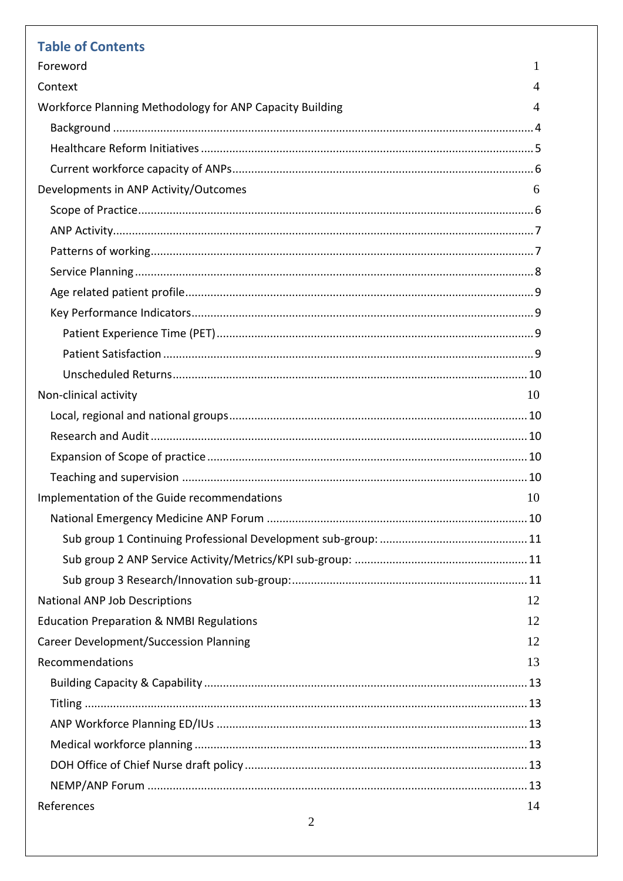| <b>Table of Contents</b>                                 |    |
|----------------------------------------------------------|----|
| Foreword                                                 | 1  |
| Context                                                  | 4  |
| Workforce Planning Methodology for ANP Capacity Building | 4  |
|                                                          |    |
|                                                          |    |
|                                                          |    |
| Developments in ANP Activity/Outcomes                    | 6  |
|                                                          |    |
|                                                          |    |
|                                                          |    |
|                                                          |    |
|                                                          |    |
|                                                          |    |
|                                                          |    |
|                                                          |    |
|                                                          |    |
| Non-clinical activity                                    | 10 |
|                                                          |    |
|                                                          |    |
|                                                          |    |
|                                                          |    |
| Implementation of the Guide recommendations              | 10 |
|                                                          |    |
|                                                          |    |
|                                                          |    |
|                                                          |    |
| <b>National ANP Job Descriptions</b>                     | 12 |
| <b>Education Preparation &amp; NMBI Regulations</b>      | 12 |
| <b>Career Development/Succession Planning</b>            | 12 |
| Recommendations                                          | 13 |
|                                                          |    |
|                                                          |    |
|                                                          |    |
|                                                          |    |
|                                                          |    |
|                                                          |    |
| References                                               | 14 |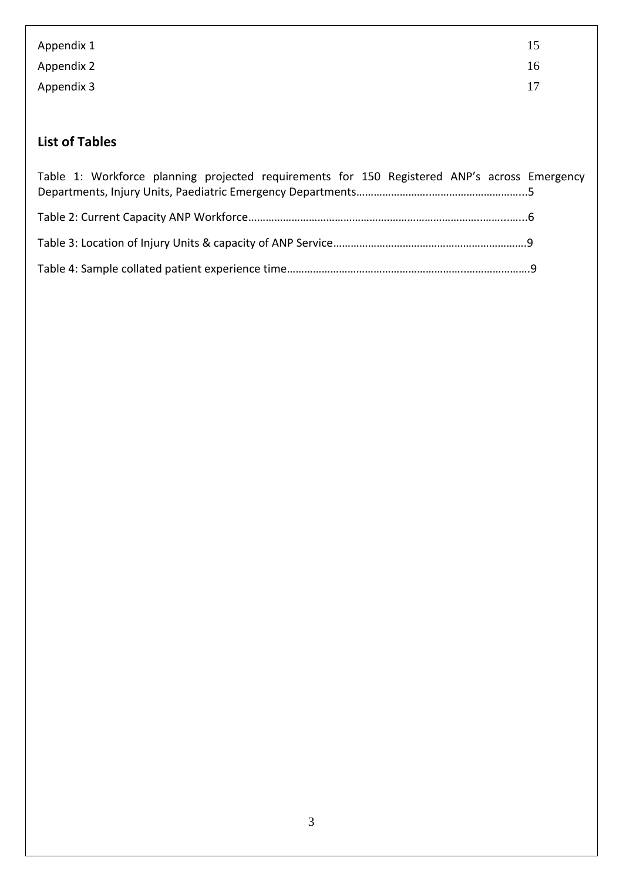| Appendix 1 | 15 |
|------------|----|
| Appendix 2 | 16 |
| Appendix 3 | 17 |

# **List of Tables**

| Table 1: Workforce planning projected requirements for 150 Registered ANP's across Emergency |  |
|----------------------------------------------------------------------------------------------|--|
|                                                                                              |  |
|                                                                                              |  |
|                                                                                              |  |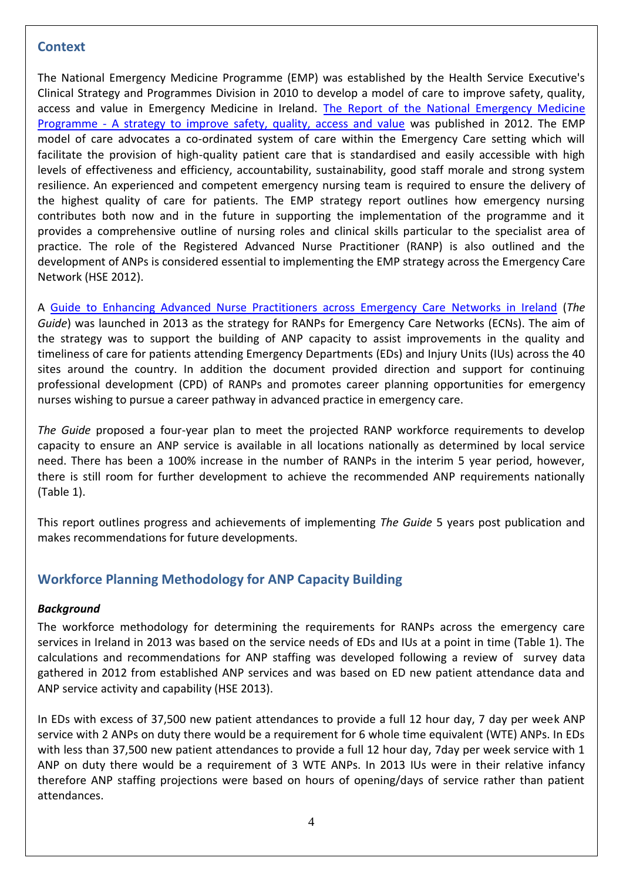# <span id="page-4-0"></span>**Context**

The National Emergency Medicine Programme (EMP) was established by the Health Service Executive's Clinical Strategy and Programmes Division in 2010 to develop a model of care to improve safety, quality, access and value in Emergency Medicine in Ireland. [The Report of the National Emergency Medicine](https://www.hse.ie/eng/services/publications/clinical-strategy-and-programmes/the-national-emergency-medicine-programme.pdf)  Programme - [A strategy to improve safety, quality, access and value](https://www.hse.ie/eng/services/publications/clinical-strategy-and-programmes/the-national-emergency-medicine-programme.pdf) was published in 2012. The EMP model of care advocates a co-ordinated system of care within the Emergency Care setting which will facilitate the provision of high-quality patient care that is standardised and easily accessible with high levels of effectiveness and efficiency, accountability, sustainability, good staff morale and strong system resilience. An experienced and competent emergency nursing team is required to ensure the delivery of the highest quality of care for patients. The EMP strategy report outlines how emergency nursing contributes both now and in the future in supporting the implementation of the programme and it provides a comprehensive outline of nursing roles and clinical skills particular to the specialist area of practice. The role of the Registered Advanced Nurse Practitioner (RANP) is also outlined and the development of ANPs is considered essential to implementing the EMP strategy across the Emergency Care Network (HSE 2012).

A [Guide to Enhancing Advanced Nurse Practitioners across Emergency Care](http://emnow.ie/wordpress/wp-content/uploads/2015/03/A-Guide-to-Enhance-ANP-Services-across-Emergency-Care-Networks-in-Ireland-July-2013-Final_4.pdf) Networks in Ireland (*The Guide*) was launched in 2013 as the strategy for RANPs for Emergency Care Networks (ECNs). The aim of the strategy was to support the building of ANP capacity to assist improvements in the quality and timeliness of care for patients attending Emergency Departments (EDs) and Injury Units (IUs) across the 40 sites around the country. In addition the document provided direction and support for continuing professional development (CPD) of RANPs and promotes career planning opportunities for emergency nurses wishing to pursue a career pathway in advanced practice in emergency care.

*The Guide* proposed a four-year plan to meet the projected RANP workforce requirements to develop capacity to ensure an ANP service is available in all locations nationally as determined by local service need. There has been a 100% increase in the number of RANPs in the interim 5 year period, however, there is still room for further development to achieve the recommended ANP requirements nationally (Table 1).

This report outlines progress and achievements of implementing *The Guide* 5 years post publication and makes recommendations for future developments.

# <span id="page-4-1"></span>**Workforce Planning Methodology for ANP Capacity Building**

#### <span id="page-4-2"></span>*Background*

The workforce methodology for determining the requirements for RANPs across the emergency care services in Ireland in 2013 was based on the service needs of EDs and IUs at a point in time (Table 1). The calculations and recommendations for ANP staffing was developed following a review of survey data gathered in 2012 from established ANP services and was based on ED new patient attendance data and ANP service activity and capability (HSE 2013).

In EDs with excess of 37,500 new patient attendances to provide a full 12 hour day, 7 day per week ANP service with 2 ANPs on duty there would be a requirement for 6 whole time equivalent (WTE) ANPs. In EDs with less than 37,500 new patient attendances to provide a full 12 hour day, 7day per week service with 1 ANP on duty there would be a requirement of 3 WTE ANPs. In 2013 IUs were in their relative infancy therefore ANP staffing projections were based on hours of opening/days of service rather than patient attendances.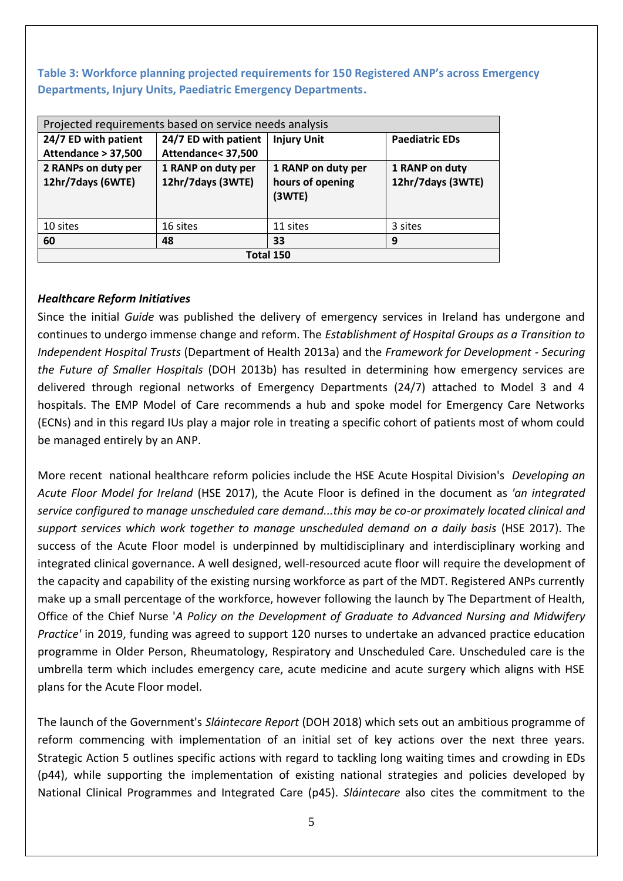**Table 3: Workforce planning projected requirements for 150 Registered ANP's across Emergency Departments, Injury Units, Paediatric Emergency Departments.**

| Projected requirements based on service needs analysis |                      |                    |                       |  |
|--------------------------------------------------------|----------------------|--------------------|-----------------------|--|
| 24/7 ED with patient                                   | 24/7 ED with patient | <b>Injury Unit</b> | <b>Paediatric EDs</b> |  |
| Attendance > 37,500                                    | Attendance< 37,500   |                    |                       |  |
| 2 RANPs on duty per                                    | 1 RANP on duty per   | 1 RANP on duty per | 1 RANP on duty        |  |
| 12hr/7days (6WTE)                                      | 12hr/7days (3WTE)    | hours of opening   | 12hr/7days (3WTE)     |  |
|                                                        |                      | (3WTE)             |                       |  |
|                                                        |                      |                    |                       |  |
| 10 sites                                               | 16 sites             | 11 sites           | 3 sites               |  |
| 60                                                     | 48                   | 33                 | 9                     |  |
| Total 150                                              |                      |                    |                       |  |

#### <span id="page-5-0"></span>*Healthcare Reform Initiatives*

Since the initial *Guide* was published the delivery of emergency services in Ireland has undergone and continues to undergo immense change and reform. The *Establishment of Hospital Groups as a Transition to Independent Hospital Trusts* (Department of Health 2013a) and the *Framework for Development - Securing the Future of Smaller Hospitals* (DOH 2013b) has resulted in determining how emergency services are delivered through regional networks of Emergency Departments (24/7) attached to Model 3 and 4 hospitals. The EMP Model of Care recommends a hub and spoke model for Emergency Care Networks (ECNs) and in this regard IUs play a major role in treating a specific cohort of patients most of whom could be managed entirely by an ANP.

More recent national healthcare reform policies include the HSE Acute Hospital Division's *Developing an Acute Floor Model for Ireland* (HSE 2017), the Acute Floor is defined in the document as *'an integrated service configured to manage unscheduled care demand...this may be co-or proximately located clinical and support services which work together to manage unscheduled demand on a daily basis* (HSE 2017). The success of the Acute Floor model is underpinned by multidisciplinary and interdisciplinary working and integrated clinical governance. A well designed, well-resourced acute floor will require the development of the capacity and capability of the existing nursing workforce as part of the MDT. Registered ANPs currently make up a small percentage of the workforce, however following the launch by The Department of Health, Office of the Chief Nurse '*A Policy on the Development of Graduate to Advanced Nursing and Midwifery Practice'* in 2019, funding was agreed to support 120 nurses to undertake an advanced practice education programme in Older Person, Rheumatology, Respiratory and Unscheduled Care. Unscheduled care is the umbrella term which includes emergency care, acute medicine and acute surgery which aligns with HSE plans for the Acute Floor model.

The launch of the Government's *Sláintecare Report* (DOH 2018) which sets out an ambitious programme of reform commencing with implementation of an initial set of key actions over the next three years. Strategic Action 5 outlines specific actions with regard to tackling long waiting times and crowding in EDs (p44), while supporting the implementation of existing national strategies and policies developed by National Clinical Programmes and Integrated Care (p45). *Sláintecare* also cites the commitment to the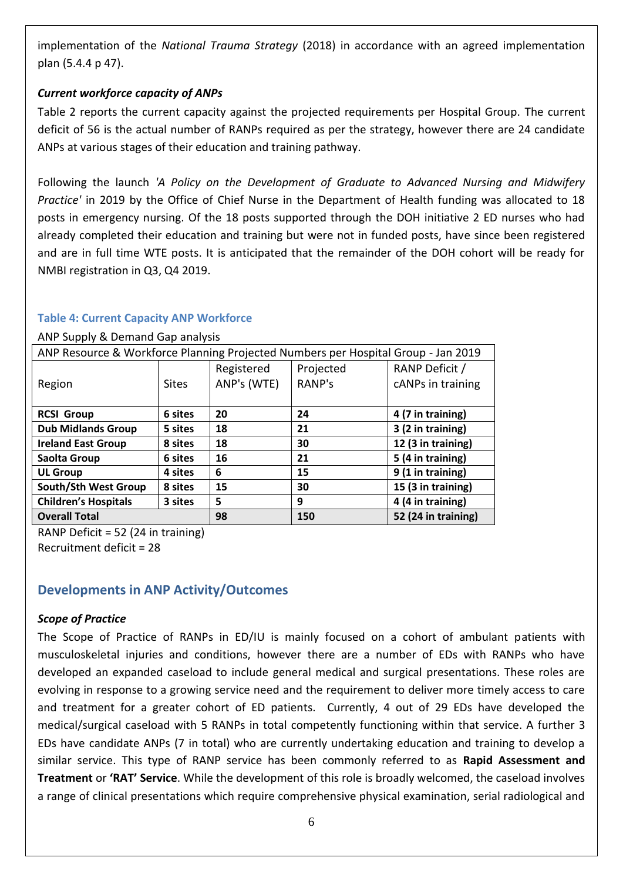implementation of the *National Trauma Strategy* (2018) in accordance with an agreed implementation plan (5.4.4 p 47).

# <span id="page-6-0"></span>*Current workforce capacity of ANPs*

Table 2 reports the current capacity against the projected requirements per Hospital Group. The current deficit of 56 is the actual number of RANPs required as per the strategy, however there are 24 candidate ANPs at various stages of their education and training pathway.

Following the launch *'A Policy on the Development of Graduate to Advanced Nursing and Midwifery Practice'* in 2019 by the Office of Chief Nurse in the Department of Health funding was allocated to 18 posts in emergency nursing. Of the 18 posts supported through the DOH initiative 2 ED nurses who had already completed their education and training but were not in funded posts, have since been registered and are in full time WTE posts. It is anticipated that the remainder of the DOH cohort will be ready for NMBI registration in Q3, Q4 2019.

#### **Table 4: Current Capacity ANP Workforce**

#### ANP Supply & Demand Gap analysis

| ANP Resource & Workforce Planning Projected Numbers per Hospital Group - Jan 2019 |              |             |           |                     |
|-----------------------------------------------------------------------------------|--------------|-------------|-----------|---------------------|
|                                                                                   |              | Registered  | Projected | RANP Deficit /      |
| Region                                                                            | <b>Sites</b> | ANP's (WTE) | RANP's    | cANPs in training   |
|                                                                                   |              |             |           |                     |
| <b>RCSI Group</b>                                                                 | 6 sites      | 20          | 24        | 4 (7 in training)   |
| <b>Dub Midlands Group</b>                                                         | 5 sites      | 18          | 21        | 3 (2 in training)   |
| <b>Ireland East Group</b>                                                         | 8 sites      | 18          | 30        | 12 (3 in training)  |
| Saolta Group                                                                      | 6 sites      | 16          | 21        | 5 (4 in training)   |
| <b>UL Group</b>                                                                   | 4 sites      | 6           | 15        | 9 (1 in training)   |
| South/Sth West Group                                                              | 8 sites      | 15          | 30        | 15 (3 in training)  |
| <b>Children's Hospitals</b>                                                       | 3 sites      | 5           | 9         | 4 (4 in training)   |
| <b>Overall Total</b>                                                              |              | 98          | 150       | 52 (24 in training) |

RANP Deficit = 52 (24 in training) Recruitment deficit = 28

# <span id="page-6-1"></span>**Developments in ANP Activity/Outcomes**

#### <span id="page-6-2"></span>*Scope of Practice*

The Scope of Practice of RANPs in ED/IU is mainly focused on a cohort of ambulant patients with musculoskeletal injuries and conditions, however there are a number of EDs with RANPs who have developed an expanded caseload to include general medical and surgical presentations. These roles are evolving in response to a growing service need and the requirement to deliver more timely access to care and treatment for a greater cohort of ED patients. Currently, 4 out of 29 EDs have developed the medical/surgical caseload with 5 RANPs in total competently functioning within that service. A further 3 EDs have candidate ANPs (7 in total) who are currently undertaking education and training to develop a similar service. This type of RANP service has been commonly referred to as **Rapid Assessment and Treatment** or **'RAT' Service**. While the development of this role is broadly welcomed, the caseload involves a range of clinical presentations which require comprehensive physical examination, serial radiological and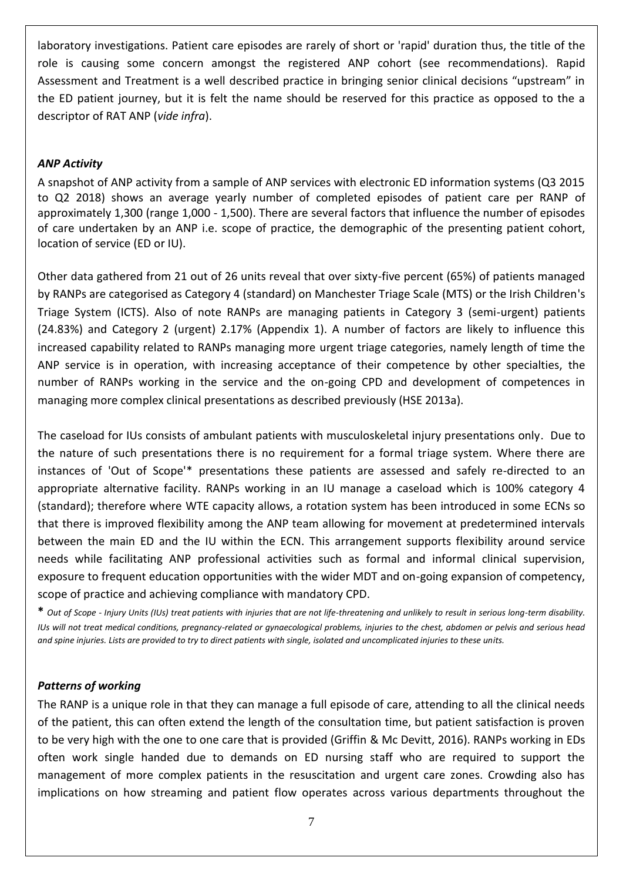laboratory investigations. Patient care episodes are rarely of short or 'rapid' duration thus, the title of the role is causing some concern amongst the registered ANP cohort (see recommendations). Rapid Assessment and Treatment is a well described practice in bringing senior clinical decisions "upstream" in the ED patient journey, but it is felt the name should be reserved for this practice as opposed to the a descriptor of RAT ANP (*vide infra*).

#### <span id="page-7-0"></span>*ANP Activity*

A snapshot of ANP activity from a sample of ANP services with electronic ED information systems (Q3 2015 to Q2 2018) shows an average yearly number of completed episodes of patient care per RANP of approximately 1,300 (range 1,000 - 1,500). There are several factors that influence the number of episodes of care undertaken by an ANP i.e. scope of practice, the demographic of the presenting patient cohort, location of service (ED or IU).

Other data gathered from 21 out of 26 units reveal that over sixty-five percent (65%) of patients managed by RANPs are categorised as Category 4 (standard) on Manchester Triage Scale (MTS) or the Irish Children's Triage System (ICTS). Also of note RANPs are managing patients in Category 3 (semi-urgent) patients (24.83%) and Category 2 (urgent) 2.17% (Appendix 1). A number of factors are likely to influence this increased capability related to RANPs managing more urgent triage categories, namely length of time the ANP service is in operation, with increasing acceptance of their competence by other specialties, the number of RANPs working in the service and the on-going CPD and development of competences in managing more complex clinical presentations as described previously (HSE 2013a).

The caseload for IUs consists of ambulant patients with musculoskeletal injury presentations only. Due to the nature of such presentations there is no requirement for a formal triage system. Where there are instances of 'Out of Scope'\* presentations these patients are assessed and safely re-directed to an appropriate alternative facility. RANPs working in an IU manage a caseload which is 100% category 4 (standard); therefore where WTE capacity allows, a rotation system has been introduced in some ECNs so that there is improved flexibility among the ANP team allowing for movement at predetermined intervals between the main ED and the IU within the ECN. This arrangement supports flexibility around service needs while facilitating ANP professional activities such as formal and informal clinical supervision, exposure to frequent education opportunities with the wider MDT and on-going expansion of competency, scope of practice and achieving compliance with mandatory CPD.

**\*** *Out of Scope - Injury Units (IUs) treat patients with injuries that are not life-threatening and unlikely to result in serious long-term disability. IUs will not treat medical conditions, pregnancy-related or gynaecological problems, injuries to the chest, abdomen or pelvis and serious head and spine injuries. Lists are provided to try to direct patients with single, isolated and uncomplicated injuries to these units.*

#### <span id="page-7-1"></span>*Patterns of working*

The RANP is a unique role in that they can manage a full episode of care, attending to all the clinical needs of the patient, this can often extend the length of the consultation time, but patient satisfaction is proven to be very high with the one to one care that is provided (Griffin & Mc Devitt, 2016). RANPs working in EDs often work single handed due to demands on ED nursing staff who are required to support the management of more complex patients in the resuscitation and urgent care zones. Crowding also has implications on how streaming and patient flow operates across various departments throughout the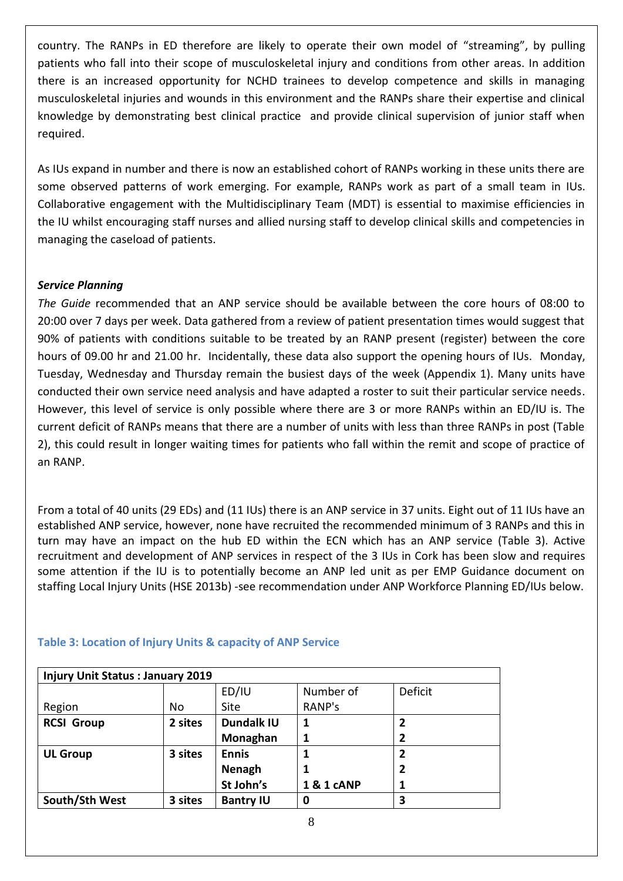country. The RANPs in ED therefore are likely to operate their own model of "streaming", by pulling patients who fall into their scope of musculoskeletal injury and conditions from other areas. In addition there is an increased opportunity for NCHD trainees to develop competence and skills in managing musculoskeletal injuries and wounds in this environment and the RANPs share their expertise and clinical knowledge by demonstrating best clinical practice and provide clinical supervision of junior staff when required.

As IUs expand in number and there is now an established cohort of RANPs working in these units there are some observed patterns of work emerging. For example, RANPs work as part of a small team in IUs. Collaborative engagement with the Multidisciplinary Team (MDT) is essential to maximise efficiencies in the IU whilst encouraging staff nurses and allied nursing staff to develop clinical skills and competencies in managing the caseload of patients.

#### <span id="page-8-0"></span>*Service Planning*

*The Guide* recommended that an ANP service should be available between the core hours of 08:00 to 20:00 over 7 days per week. Data gathered from a review of patient presentation times would suggest that 90% of patients with conditions suitable to be treated by an RANP present (register) between the core hours of 09.00 hr and 21.00 hr. Incidentally, these data also support the opening hours of IUs. Monday, Tuesday, Wednesday and Thursday remain the busiest days of the week (Appendix 1). Many units have conducted their own service need analysis and have adapted a roster to suit their particular service needs. However, this level of service is only possible where there are 3 or more RANPs within an ED/IU is. The current deficit of RANPs means that there are a number of units with less than three RANPs in post (Table 2), this could result in longer waiting times for patients who fall within the remit and scope of practice of an RANP.

From a total of 40 units (29 EDs) and (11 IUs) there is an ANP service in 37 units. Eight out of 11 IUs have an established ANP service, however, none have recruited the recommended minimum of 3 RANPs and this in turn may have an impact on the hub ED within the ECN which has an ANP service (Table 3). Active recruitment and development of ANP services in respect of the 3 IUs in Cork has been slow and requires some attention if the IU is to potentially become an ANP led unit as per EMP Guidance document on staffing Local Injury Units (HSE 2013b) -see recommendation under ANP Workforce Planning ED/IUs below.

| <b>Injury Unit Status: January 2019</b> |         |                   |            |                         |
|-----------------------------------------|---------|-------------------|------------|-------------------------|
|                                         |         | ED/IU             | Number of  | Deficit                 |
| Region                                  | No      | <b>Site</b>       | RANP's     |                         |
| <b>RCSI Group</b>                       | 2 sites | <b>Dundalk IU</b> | 1          | 2                       |
|                                         |         | Monaghan          |            | 2                       |
| <b>UL Group</b>                         | 3 sites | <b>Ennis</b>      |            | 2                       |
|                                         |         | <b>Nenagh</b>     |            | $\overline{\mathbf{2}}$ |
|                                         |         | St John's         | 1 & 1 cANP | 1                       |
| South/Sth West                          | 3 sites | <b>Bantry IU</b>  | 0          | 3                       |

#### **Table 3: Location of Injury Units & capacity of ANP Service**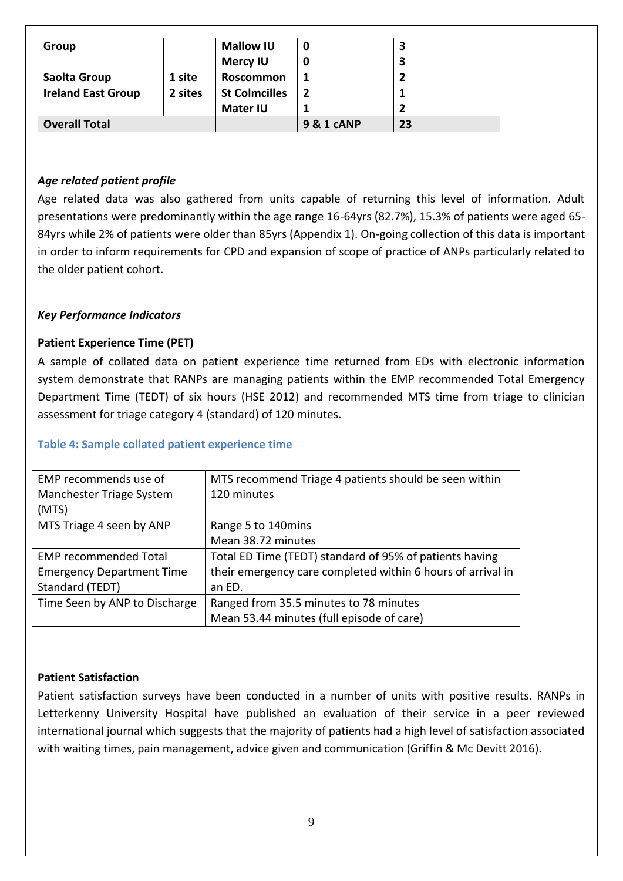| Group                     |         | <b>Mallow IU</b>     | 0          |    |
|---------------------------|---------|----------------------|------------|----|
|                           |         | <b>Mercy IU</b>      |            |    |
| Saolta Group              | 1 site  | Roscommon            |            |    |
| <b>Ireland East Group</b> | 2 sites | <b>St Colmcilles</b> | 2          |    |
|                           |         | <b>Mater IU</b>      |            |    |
| <b>Overall Total</b>      |         |                      | 9 & 1 cANP | 23 |

#### <span id="page-9-0"></span>*Age related patient profile*

Age related data was also gathered from units capable of returning this level of information. Adult presentations were predominantly within the age range 16-64yrs (82.7%), 15.3% of patients were aged 65- 84yrs while 2% of patients were older than 85yrs (Appendix 1). On-going collection of this data is important in order to inform requirements for CPD and expansion of scope of practice of ANPs particularly related to the older patient cohort.

#### <span id="page-9-1"></span>*Key Performance Indicators*

#### <span id="page-9-2"></span>**Patient Experience Time (PET)**

A sample of collated data on patient experience time returned from EDs with electronic information system demonstrate that RANPs are managing patients within the EMP recommended Total Emergency Department Time (TEDT) of six hours (HSE 2012) and recommended MTS time from triage to clinician assessment for triage category 4 (standard) of 120 minutes.

#### **Table 4: Sample collated patient experience time**

| EMP recommends use of            | MTS recommend Triage 4 patients should be seen within       |
|----------------------------------|-------------------------------------------------------------|
| Manchester Triage System         | 120 minutes                                                 |
| (MTS)                            |                                                             |
| MTS Triage 4 seen by ANP         | Range 5 to 140mins                                          |
|                                  | Mean 38.72 minutes                                          |
| <b>EMP recommended Total</b>     | Total ED Time (TEDT) standard of 95% of patients having     |
| <b>Emergency Department Time</b> | their emergency care completed within 6 hours of arrival in |
| Standard (TEDT)                  | an ED.                                                      |
| Time Seen by ANP to Discharge    | Ranged from 35.5 minutes to 78 minutes                      |
|                                  | Mean 53.44 minutes (full episode of care)                   |

#### <span id="page-9-3"></span>**Patient Satisfaction**

Patient satisfaction surveys have been conducted in a number of units with positive results. RANPs in Letterkenny University Hospital have published an evaluation of their service in a peer reviewed international journal which suggests that the majority of patients had a high level of satisfaction associated with waiting times, pain management, advice given and communication (Griffin & Mc Devitt 2016).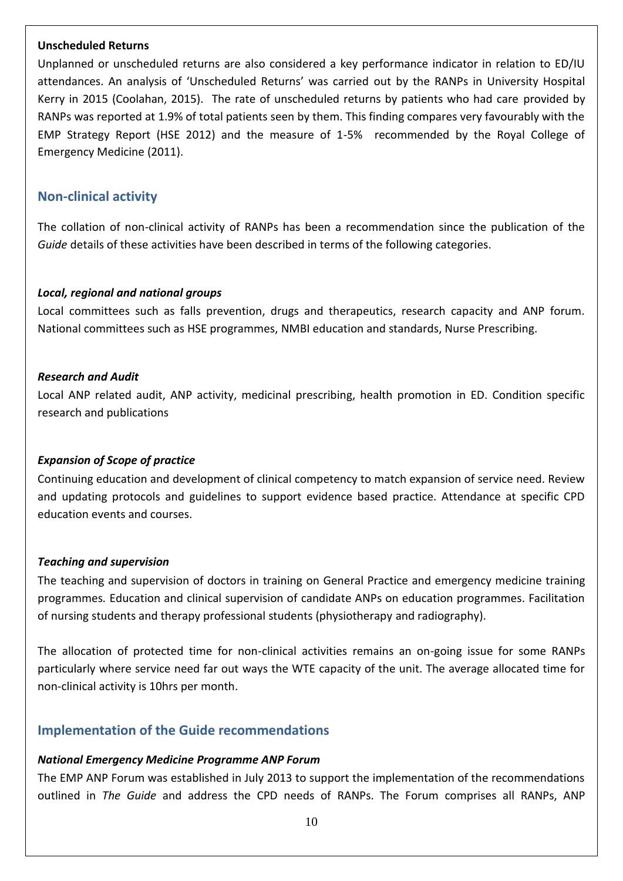#### <span id="page-10-0"></span>**Unscheduled Returns**

Unplanned or unscheduled returns are also considered a key performance indicator in relation to ED/IU attendances. An analysis of 'Unscheduled Returns' was carried out by the RANPs in University Hospital Kerry in 2015 (Coolahan, 2015). The rate of unscheduled returns by patients who had care provided by RANPs was reported at 1.9% of total patients seen by them. This finding compares very favourably with the EMP Strategy Report (HSE 2012) and the measure of 1-5% recommended by the Royal College of Emergency Medicine (2011).

# <span id="page-10-1"></span>**Non-clinical activity**

The collation of non-clinical activity of RANPs has been a recommendation since the publication of the *Guide* details of these activities have been described in terms of the following categories.

#### <span id="page-10-2"></span>*Local, regional and national groups*

Local committees such as falls prevention, drugs and therapeutics, research capacity and ANP forum. National committees such as HSE programmes, NMBI education and standards, Nurse Prescribing.

#### <span id="page-10-3"></span>*Research and Audit*

Local ANP related audit, ANP activity, medicinal prescribing, health promotion in ED. Condition specific research and publications

#### <span id="page-10-4"></span>*Expansion of Scope of practice*

Continuing education and development of clinical competency to match expansion of service need. Review and updating protocols and guidelines to support evidence based practice. Attendance at specific CPD education events and courses.

#### <span id="page-10-5"></span>*Teaching and supervision*

The teaching and supervision of doctors in training on General Practice and emergency medicine training programmes*.* Education and clinical supervision of candidate ANPs on education programmes. Facilitation of nursing students and therapy professional students (physiotherapy and radiography).

The allocation of protected time for non-clinical activities remains an on-going issue for some RANPs particularly where service need far out ways the WTE capacity of the unit. The average allocated time for non-clinical activity is 10hrs per month.

# <span id="page-10-6"></span>**Implementation of the Guide recommendations**

#### <span id="page-10-7"></span>*National Emergency Medicine Programme ANP Forum*

The EMP ANP Forum was established in July 2013 to support the implementation of the recommendations outlined in *The Guide* and address the CPD needs of RANPs. The Forum comprises all RANPs, ANP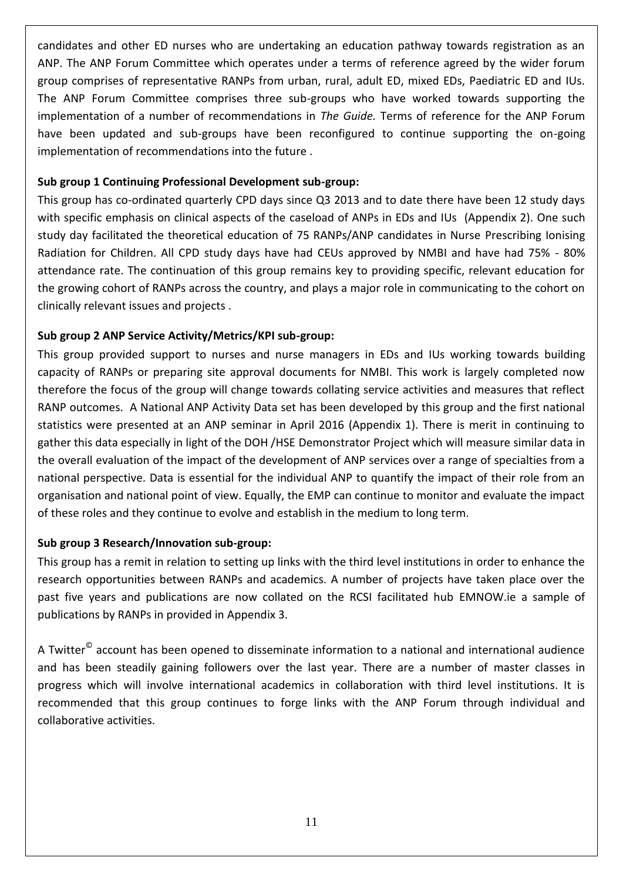candidates and other ED nurses who are undertaking an education pathway towards registration as an ANP. The ANP Forum Committee which operates under a terms of reference agreed by the wider forum group comprises of representative RANPs from urban, rural, adult ED, mixed EDs, Paediatric ED and IUs. The ANP Forum Committee comprises three sub-groups who have worked towards supporting the implementation of a number of recommendations in *The Guide.* Terms of reference for the ANP Forum have been updated and sub-groups have been reconfigured to continue supporting the on-going implementation of recommendations into the future .

#### <span id="page-11-0"></span>**Sub group 1 Continuing Professional Development sub-group:**

This group has co-ordinated quarterly CPD days since Q3 2013 and to date there have been 12 study days with specific emphasis on clinical aspects of the caseload of ANPs in EDs and IUs (Appendix 2). One such study day facilitated the theoretical education of 75 RANPs/ANP candidates in Nurse Prescribing Ionising Radiation for Children. All CPD study days have had CEUs approved by NMBI and have had 75% - 80% attendance rate. The continuation of this group remains key to providing specific, relevant education for the growing cohort of RANPs across the country, and plays a major role in communicating to the cohort on clinically relevant issues and projects .

# <span id="page-11-1"></span>**Sub group 2 ANP Service Activity/Metrics/KPI sub-group:**

This group provided support to nurses and nurse managers in EDs and IUs working towards building capacity of RANPs or preparing site approval documents for NMBI. This work is largely completed now therefore the focus of the group will change towards collating service activities and measures that reflect RANP outcomes. A National ANP Activity Data set has been developed by this group and the first national statistics were presented at an ANP seminar in April 2016 (Appendix 1). There is merit in continuing to gather this data especially in light of the DOH /HSE Demonstrator Project which will measure similar data in the overall evaluation of the impact of the development of ANP services over a range of specialties from a national perspective. Data is essential for the individual ANP to quantify the impact of their role from an organisation and national point of view. Equally, the EMP can continue to monitor and evaluate the impact of these roles and they continue to evolve and establish in the medium to long term.

#### <span id="page-11-2"></span>**Sub group 3 Research/Innovation sub-group:**

This group has a remit in relation to setting up links with the third level institutions in order to enhance the research opportunities between RANPs and academics. A number of projects have taken place over the past five years and publications are now collated on the RCSI facilitated hub EMNOW.ie a sample of publications by RANPs in provided in Appendix 3.

<span id="page-11-3"></span>A Twitter<sup>©</sup> account has been opened to disseminate information to a national and international audience and has been steadily gaining followers over the last year. There are a number of master classes in progress which will involve international academics in collaboration with third level institutions. It is recommended that this group continues to forge links with the ANP Forum through individual and collaborative activities.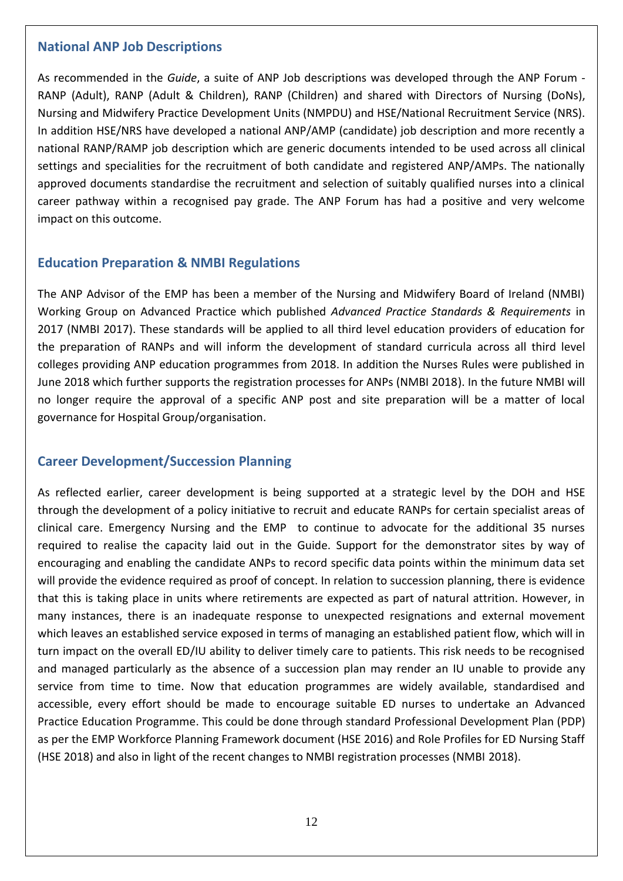## **National ANP Job Descriptions**

As recommended in the *Guide*, a suite of ANP Job descriptions was developed through the ANP Forum - RANP (Adult), RANP (Adult & Children), RANP (Children) and shared with Directors of Nursing (DoNs), Nursing and Midwifery Practice Development Units (NMPDU) and HSE/National Recruitment Service (NRS). In addition HSE/NRS have developed a national ANP/AMP (candidate) job description and more recently a national RANP/RAMP job description which are generic documents intended to be used across all clinical settings and specialities for the recruitment of both candidate and registered ANP/AMPs. The nationally approved documents standardise the recruitment and selection of suitably qualified nurses into a clinical career pathway within a recognised pay grade. The ANP Forum has had a positive and very welcome impact on this outcome.

# <span id="page-12-0"></span>**Education Preparation & NMBI Regulations**

The ANP Advisor of the EMP has been a member of the Nursing and Midwifery Board of Ireland (NMBI) Working Group on Advanced Practice which published *Advanced Practice Standards & Requirements* in 2017 (NMBI 2017). These standards will be applied to all third level education providers of education for the preparation of RANPs and will inform the development of standard curricula across all third level colleges providing ANP education programmes from 2018. In addition the Nurses Rules were published in June 2018 which further supports the registration processes for ANPs (NMBI 2018). In the future NMBI will no longer require the approval of a specific ANP post and site preparation will be a matter of local governance for Hospital Group/organisation.

# <span id="page-12-1"></span>**Career Development/Succession Planning**

As reflected earlier, career development is being supported at a strategic level by the DOH and HSE through the development of a policy initiative to recruit and educate RANPs for certain specialist areas of clinical care. Emergency Nursing and the EMP to continue to advocate for the additional 35 nurses required to realise the capacity laid out in the Guide. Support for the demonstrator sites by way of encouraging and enabling the candidate ANPs to record specific data points within the minimum data set will provide the evidence required as proof of concept. In relation to succession planning, there is evidence that this is taking place in units where retirements are expected as part of natural attrition. However, in many instances, there is an inadequate response to unexpected resignations and external movement which leaves an established service exposed in terms of managing an established patient flow, which will in turn impact on the overall ED/IU ability to deliver timely care to patients. This risk needs to be recognised and managed particularly as the absence of a succession plan may render an IU unable to provide any service from time to time. Now that education programmes are widely available, standardised and accessible, every effort should be made to encourage suitable ED nurses to undertake an Advanced Practice Education Programme. This could be done through standard Professional Development Plan (PDP) as per the EMP Workforce Planning Framework document (HSE 2016) and Role Profiles for ED Nursing Staff (HSE 2018) and also in light of the recent changes to NMBI registration processes (NMBI 2018).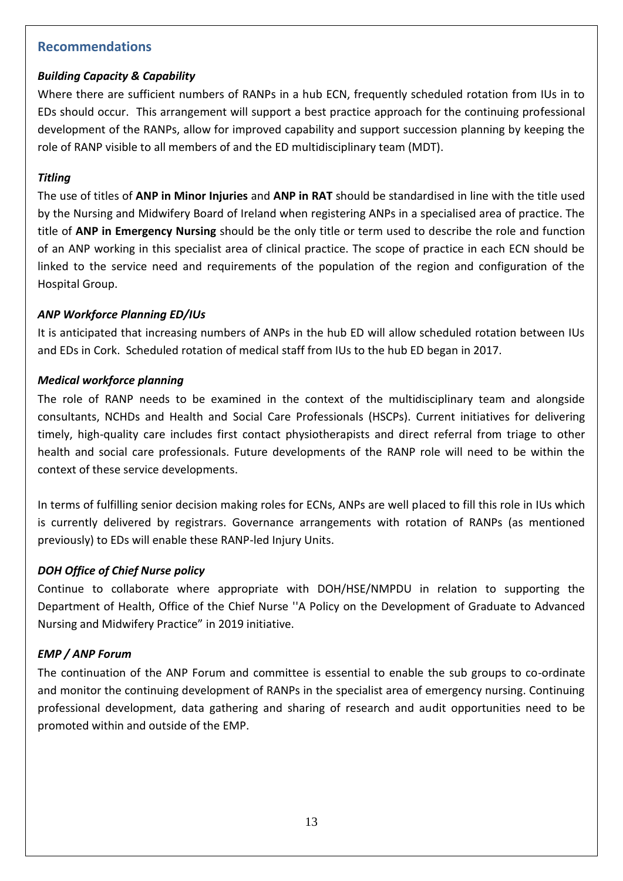# <span id="page-13-0"></span>**Recommendations**

## <span id="page-13-1"></span>*Building Capacity & Capability*

Where there are sufficient numbers of RANPs in a hub ECN, frequently scheduled rotation from IUs in to EDs should occur. This arrangement will support a best practice approach for the continuing professional development of the RANPs, allow for improved capability and support succession planning by keeping the role of RANP visible to all members of and the ED multidisciplinary team (MDT).

#### <span id="page-13-2"></span>*Titling*

The use of titles of **ANP in Minor Injuries** and **ANP in RAT** should be standardised in line with the title used by the Nursing and Midwifery Board of Ireland when registering ANPs in a specialised area of practice. The title of **ANP in Emergency Nursing** should be the only title or term used to describe the role and function of an ANP working in this specialist area of clinical practice. The scope of practice in each ECN should be linked to the service need and requirements of the population of the region and configuration of the Hospital Group.

#### <span id="page-13-3"></span>*ANP Workforce Planning ED/IUs*

It is anticipated that increasing numbers of ANPs in the hub ED will allow scheduled rotation between IUs and EDs in Cork. Scheduled rotation of medical staff from IUs to the hub ED began in 2017.

#### <span id="page-13-4"></span>*Medical workforce planning*

The role of RANP needs to be examined in the context of the multidisciplinary team and alongside consultants, NCHDs and Health and Social Care Professionals (HSCPs). Current initiatives for delivering timely, high-quality care includes first contact physiotherapists and direct referral from triage to other health and social care professionals. Future developments of the RANP role will need to be within the context of these service developments.

In terms of fulfilling senior decision making roles for ECNs, ANPs are well placed to fill this role in IUs which is currently delivered by registrars. Governance arrangements with rotation of RANPs (as mentioned previously) to EDs will enable these RANP-led Injury Units.

#### <span id="page-13-5"></span>*DOH Office of Chief Nurse policy*

Continue to collaborate where appropriate with DOH/HSE/NMPDU in relation to supporting the Department of Health, Office of the Chief Nurse ''A Policy on the Development of Graduate to Advanced Nursing and Midwifery Practice" in 2019 initiative.

#### <span id="page-13-6"></span>*EMP / ANP Forum*

The continuation of the ANP Forum and committee is essential to enable the sub groups to co-ordinate and monitor the continuing development of RANPs in the specialist area of emergency nursing. Continuing professional development, data gathering and sharing of research and audit opportunities need to be promoted within and outside of the EMP.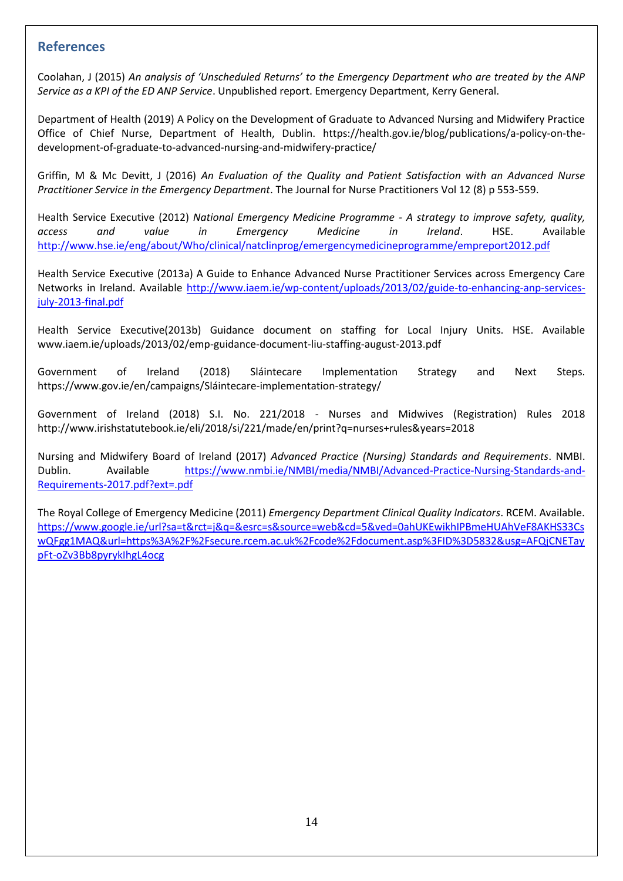## <span id="page-14-0"></span>**References**

Coolahan, J (2015) *An analysis of 'Unscheduled Returns' to the Emergency Department who are treated by the ANP Service as a KPI of the ED ANP Service*. Unpublished report. Emergency Department, Kerry General.

Department of Health (2019) A Policy on the Development of Graduate to Advanced Nursing and Midwifery Practice Office of Chief Nurse, Department of Health, Dublin. https://health.gov.ie/blog/publications/a-policy-on-thedevelopment-of-graduate-to-advanced-nursing-and-midwifery-practice/

Griffin, M & Mc Devitt, J (2016) *An Evaluation of the Quality and Patient Satisfaction with an Advanced Nurse Practitioner Service in the Emergency Department*. The Journal for Nurse Practitioners Vol 12 (8) p 553-559.

Health Service Executive (2012) *National Emergency Medicine Programme - A strategy to improve safety, quality, access and value in Emergency Medicine in Ireland*. HSE. Available <http://www.hse.ie/eng/about/Who/clinical/natclinprog/emergencymedicineprogramme/empreport2012.pdf>

Health Service Executive (2013a) A Guide to Enhance Advanced Nurse Practitioner Services across Emergency Care Networks in Ireland. Available [http://www.iaem.ie/wp-content/uploads/2013/02/guide-to-enhancing-anp-services](http://www.iaem.ie/wp-content/uploads/2013/02/guide-to-enhancing-anp-services-july-2013-final.pdf)[july-2013-final.pdf](http://www.iaem.ie/wp-content/uploads/2013/02/guide-to-enhancing-anp-services-july-2013-final.pdf)

Health Service Executive(2013b) Guidance document on staffing for Local Injury Units. HSE. Available www.iaem.ie/uploads/2013/02/emp-guidance-document-liu-staffing-august-2013.pdf

Government of Ireland (2018) Sláintecare Implementation Strategy and Next Steps. https://www.gov.ie/en/campaigns/Sláintecare-implementation-strategy/

Government of Ireland (2018) S.I. No. 221/2018 - Nurses and Midwives (Registration) Rules 2018 http://www.irishstatutebook.ie/eli/2018/si/221/made/en/print?q=nurses+rules&years=2018

Nursing and Midwifery Board of Ireland (2017) *Advanced Practice (Nursing) Standards and Requirements*. NMBI. Dublin. Available [https://www.nmbi.ie/NMBI/media/NMBI/Advanced-Practice-Nursing-Standards-and-](https://www.nmbi.ie/NMBI/media/NMBI/Advanced-Practice-Nursing-Standards-and-Requirements-2017.pdf?ext=.pdf)[Requirements-2017.pdf?ext=.pdf](https://www.nmbi.ie/NMBI/media/NMBI/Advanced-Practice-Nursing-Standards-and-Requirements-2017.pdf?ext=.pdf)

The Royal College of Emergency Medicine (2011) *Emergency Department Clinical Quality Indicators*. RCEM. Available. [https://www.google.ie/url?sa=t&rct=j&q=&esrc=s&source=web&cd=5&ved=0ahUKEwikhIPBmeHUAhVeF8AKHS33Cs](https://www.google.ie/url?sa=t&rct=j&q=&esrc=s&source=web&cd=5&ved=0ahUKEwikhIPBmeHUAhVeF8AKHS33CswQFgg1MAQ&url=https%3A%2F%2Fsecure.rcem.ac.uk%2Fcode%2Fdocument.asp%3FID%3D5832&usg=AFQjCNETaypFt-oZv3Bb8pyrykIhgL4ocg) [wQFgg1MAQ&url=https%3A%2F%2Fsecure.rcem.ac.uk%2Fcode%2Fdocument.asp%3FID%3D5832&usg=AFQjCNETay](https://www.google.ie/url?sa=t&rct=j&q=&esrc=s&source=web&cd=5&ved=0ahUKEwikhIPBmeHUAhVeF8AKHS33CswQFgg1MAQ&url=https%3A%2F%2Fsecure.rcem.ac.uk%2Fcode%2Fdocument.asp%3FID%3D5832&usg=AFQjCNETaypFt-oZv3Bb8pyrykIhgL4ocg) [pFt-oZv3Bb8pyrykIhgL4ocg](https://www.google.ie/url?sa=t&rct=j&q=&esrc=s&source=web&cd=5&ved=0ahUKEwikhIPBmeHUAhVeF8AKHS33CswQFgg1MAQ&url=https%3A%2F%2Fsecure.rcem.ac.uk%2Fcode%2Fdocument.asp%3FID%3D5832&usg=AFQjCNETaypFt-oZv3Bb8pyrykIhgL4ocg)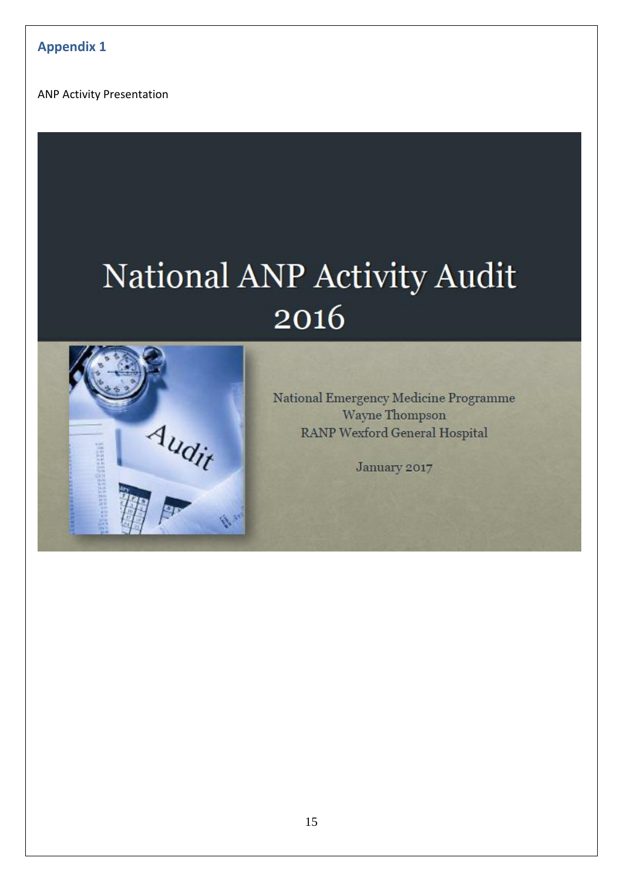<span id="page-15-0"></span>ANP Activity Presentation

# National ANP Activity Audit 2016



National Emergency Medicine Programme Wayne Thompson **RANP Wexford General Hospital** 

January 2017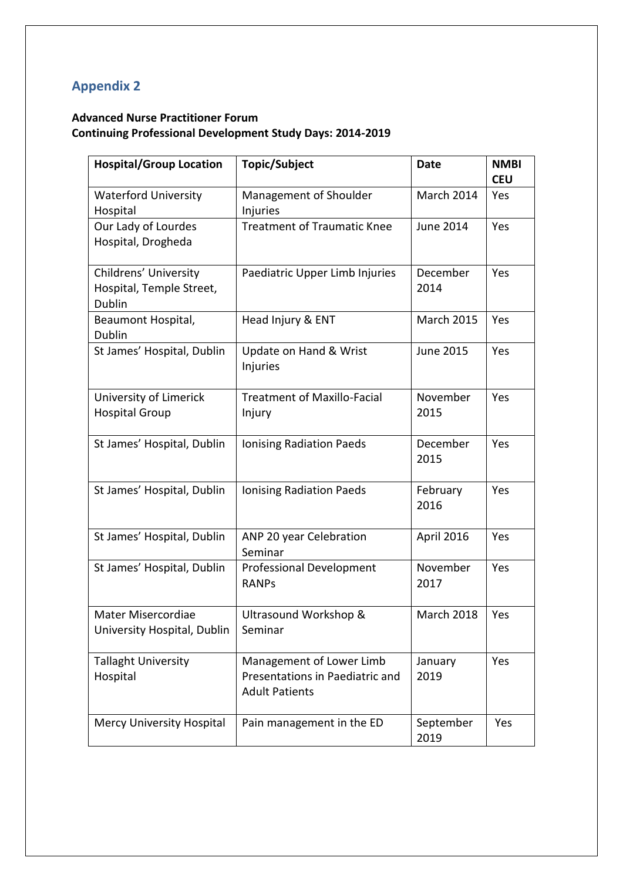# <span id="page-16-0"></span>**Appendix 2**

# **Advanced Nurse Practitioner Forum Continuing Professional Development Study Days: 2014-2019**

| <b>Hospital/Group Location</b>                              | <b>Topic/Subject</b>                                                                 | Date              | <b>NMBI</b><br><b>CEU</b> |
|-------------------------------------------------------------|--------------------------------------------------------------------------------------|-------------------|---------------------------|
| <b>Waterford University</b><br>Hospital                     | Management of Shoulder<br>Injuries                                                   | March 2014        | Yes                       |
| Our Lady of Lourdes<br>Hospital, Drogheda                   | <b>Treatment of Traumatic Knee</b>                                                   | <b>June 2014</b>  | Yes                       |
| Childrens' University<br>Hospital, Temple Street,<br>Dublin | Paediatric Upper Limb Injuries                                                       | December<br>2014  | Yes                       |
| Beaumont Hospital,<br>Dublin                                | Head Injury & ENT                                                                    | <b>March 2015</b> | Yes                       |
| St James' Hospital, Dublin                                  | Update on Hand & Wrist<br>Injuries                                                   | <b>June 2015</b>  | Yes                       |
| University of Limerick<br><b>Hospital Group</b>             | <b>Treatment of Maxillo-Facial</b><br>Injury                                         | November<br>2015  | Yes                       |
| St James' Hospital, Dublin                                  | <b>Ionising Radiation Paeds</b>                                                      | December<br>2015  | Yes                       |
| St James' Hospital, Dublin                                  | Ionising Radiation Paeds                                                             | February<br>2016  | Yes                       |
| St James' Hospital, Dublin                                  | ANP 20 year Celebration<br>Seminar                                                   | April 2016        | Yes                       |
| St James' Hospital, Dublin                                  | <b>Professional Development</b><br><b>RANPs</b>                                      | November<br>2017  | Yes                       |
| Mater Misercordiae<br>University Hospital, Dublin           | Ultrasound Workshop &<br>Seminar                                                     | <b>March 2018</b> | Yes                       |
| <b>Tallaght University</b><br>Hospital                      | Management of Lower Limb<br>Presentations in Paediatric and<br><b>Adult Patients</b> | January<br>2019   | Yes                       |
| Mercy University Hospital                                   | Pain management in the ED                                                            | September<br>2019 | Yes                       |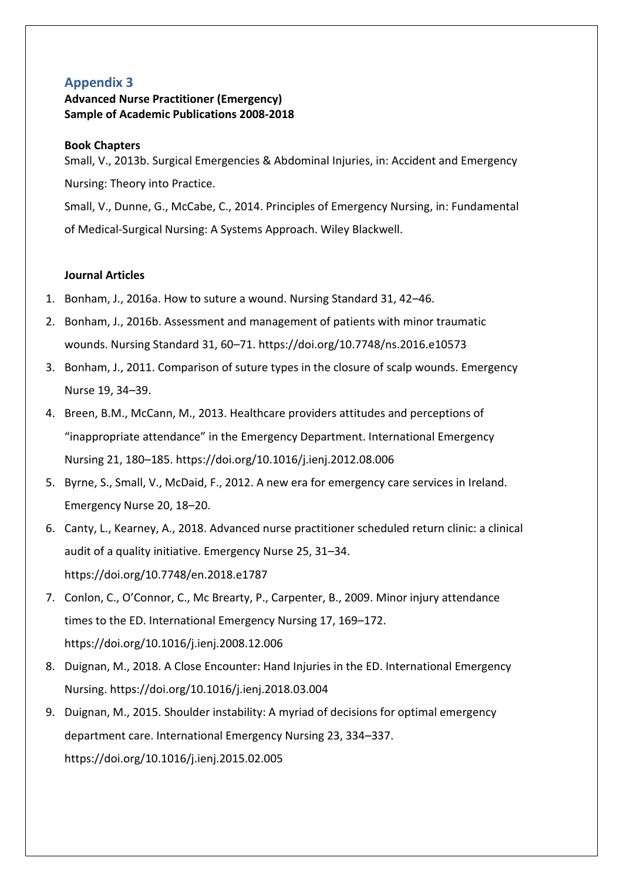# <span id="page-17-0"></span>**Appendix 3**

## **Advanced Nurse Practitioner (Emergency) Sample of Academic Publications 2008-2018**

#### **Book Chapters**

Small, V., 2013b. Surgical Emergencies & Abdominal Injuries, in: Accident and Emergency Nursing: Theory into Practice.

Small, V., Dunne, G., McCabe, C., 2014. Principles of Emergency Nursing, in: Fundamental of Medical-Surgical Nursing: A Systems Approach. Wiley Blackwell.

#### **Journal Articles**

- 1. Bonham, J., 2016a. How to suture a wound. Nursing Standard 31, 42–46.
- 2. Bonham, J., 2016b. Assessment and management of patients with minor traumatic wounds. Nursing Standard 31, 60–71. https://doi.org/10.7748/ns.2016.e10573
- 3. Bonham, J., 2011. Comparison of suture types in the closure of scalp wounds. Emergency Nurse 19, 34–39.
- 4. Breen, B.M., McCann, M., 2013. Healthcare providers attitudes and perceptions of "inappropriate attendance" in the Emergency Department. International Emergency Nursing 21, 180–185. https://doi.org/10.1016/j.ienj.2012.08.006
- 5. Byrne, S., Small, V., McDaid, F., 2012. A new era for emergency care services in Ireland. Emergency Nurse 20, 18–20.
- 6. Canty, L., Kearney, A., 2018. Advanced nurse practitioner scheduled return clinic: a clinical audit of a quality initiative. Emergency Nurse 25, 31–34. https://doi.org/10.7748/en.2018.e1787
- 7. Conlon, C., O'Connor, C., Mc Brearty, P., Carpenter, B., 2009. Minor injury attendance times to the ED. International Emergency Nursing 17, 169–172. https://doi.org/10.1016/j.ienj.2008.12.006
- 8. Duignan, M., 2018. A Close Encounter: Hand Injuries in the ED. International Emergency Nursing. https://doi.org/10.1016/j.ienj.2018.03.004
- 9. Duignan, M., 2015. Shoulder instability: A myriad of decisions for optimal emergency department care. International Emergency Nursing 23, 334–337. https://doi.org/10.1016/j.ienj.2015.02.005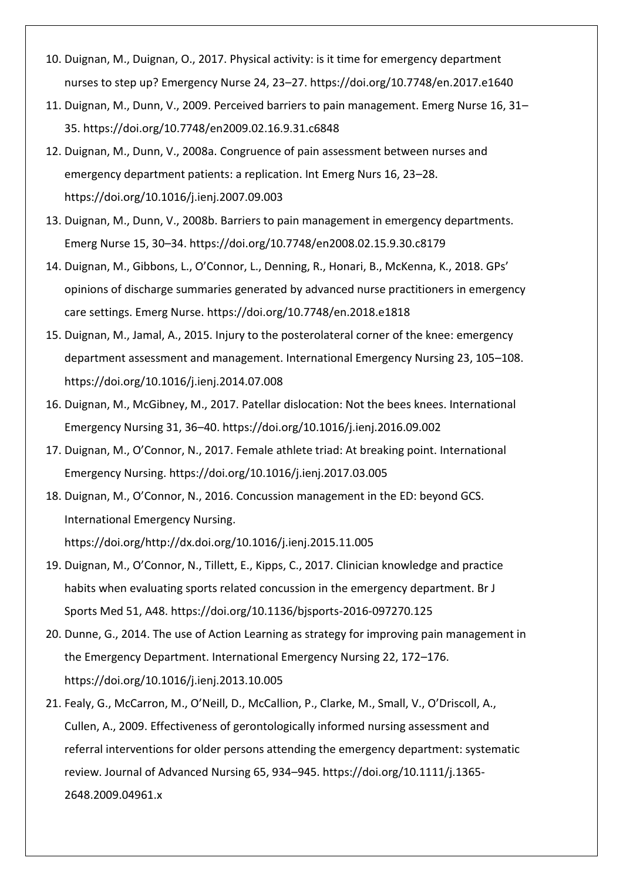- 10. Duignan, M., Duignan, O., 2017. Physical activity: is it time for emergency department nurses to step up? Emergency Nurse 24, 23–27. https://doi.org/10.7748/en.2017.e1640
- 11. Duignan, M., Dunn, V., 2009. Perceived barriers to pain management. Emerg Nurse 16, 31– 35. https://doi.org/10.7748/en2009.02.16.9.31.c6848
- 12. Duignan, M., Dunn, V., 2008a. Congruence of pain assessment between nurses and emergency department patients: a replication. Int Emerg Nurs 16, 23–28. https://doi.org/10.1016/j.ienj.2007.09.003
- 13. Duignan, M., Dunn, V., 2008b. Barriers to pain management in emergency departments. Emerg Nurse 15, 30–34. https://doi.org/10.7748/en2008.02.15.9.30.c8179
- 14. Duignan, M., Gibbons, L., O'Connor, L., Denning, R., Honari, B., McKenna, K., 2018. GPs' opinions of discharge summaries generated by advanced nurse practitioners in emergency care settings. Emerg Nurse. https://doi.org/10.7748/en.2018.e1818
- 15. Duignan, M., Jamal, A., 2015. Injury to the posterolateral corner of the knee: emergency department assessment and management. International Emergency Nursing 23, 105–108. https://doi.org/10.1016/j.ienj.2014.07.008
- 16. Duignan, M., McGibney, M., 2017. Patellar dislocation: Not the bees knees. International Emergency Nursing 31, 36–40. https://doi.org/10.1016/j.ienj.2016.09.002
- 17. Duignan, M., O'Connor, N., 2017. Female athlete triad: At breaking point. International Emergency Nursing. https://doi.org/10.1016/j.ienj.2017.03.005
- 18. Duignan, M., O'Connor, N., 2016. Concussion management in the ED: beyond GCS. International Emergency Nursing. https://doi.org/http://dx.doi.org/10.1016/j.ienj.2015.11.005
- 19. Duignan, M., O'Connor, N., Tillett, E., Kipps, C., 2017. Clinician knowledge and practice habits when evaluating sports related concussion in the emergency department. Br J Sports Med 51, A48. https://doi.org/10.1136/bjsports-2016-097270.125
- 20. Dunne, G., 2014. The use of Action Learning as strategy for improving pain management in the Emergency Department. International Emergency Nursing 22, 172–176. https://doi.org/10.1016/j.ienj.2013.10.005
- 21. Fealy, G., McCarron, M., O'Neill, D., McCallion, P., Clarke, M., Small, V., O'Driscoll, A., Cullen, A., 2009. Effectiveness of gerontologically informed nursing assessment and referral interventions for older persons attending the emergency department: systematic review. Journal of Advanced Nursing 65, 934–945. https://doi.org/10.1111/j.1365- 2648.2009.04961.x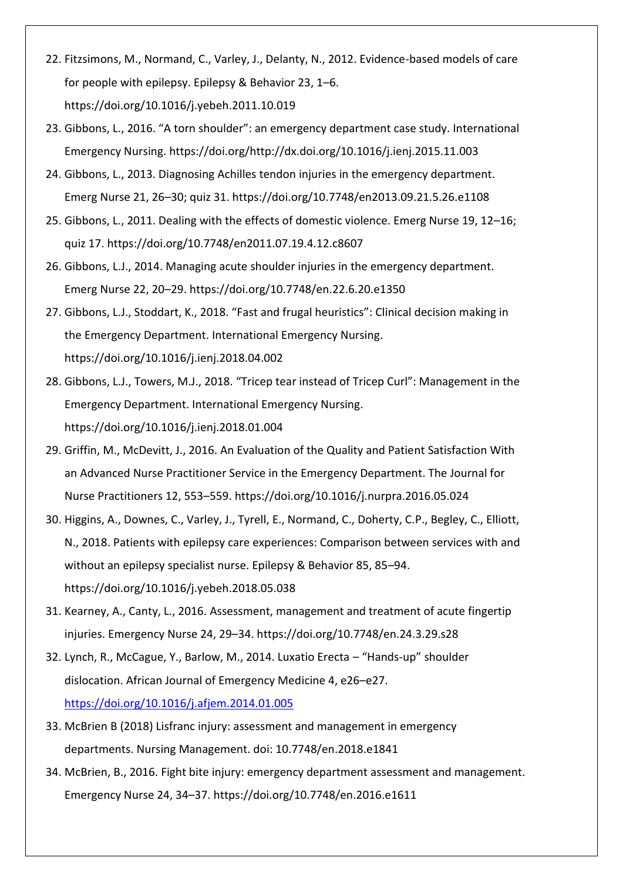- 22. Fitzsimons, M., Normand, C., Varley, J., Delanty, N., 2012. Evidence-based models of care for people with epilepsy. Epilepsy & Behavior 23, 1–6. https://doi.org/10.1016/j.yebeh.2011.10.019
- 23. Gibbons, L., 2016. "A torn shoulder": an emergency department case study. International Emergency Nursing. https://doi.org/http://dx.doi.org/10.1016/j.ienj.2015.11.003
- 24. Gibbons, L., 2013. Diagnosing Achilles tendon injuries in the emergency department. Emerg Nurse 21, 26–30; quiz 31. https://doi.org/10.7748/en2013.09.21.5.26.e1108
- 25. Gibbons, L., 2011. Dealing with the effects of domestic violence. Emerg Nurse 19, 12–16; quiz 17. https://doi.org/10.7748/en2011.07.19.4.12.c8607
- 26. Gibbons, L.J., 2014. Managing acute shoulder injuries in the emergency department. Emerg Nurse 22, 20–29. https://doi.org/10.7748/en.22.6.20.e1350
- 27. Gibbons, L.J., Stoddart, K., 2018. "Fast and frugal heuristics": Clinical decision making in the Emergency Department. International Emergency Nursing. https://doi.org/10.1016/j.ienj.2018.04.002
- 28. Gibbons, L.J., Towers, M.J., 2018. "Tricep tear instead of Tricep Curl": Management in the Emergency Department. International Emergency Nursing. https://doi.org/10.1016/j.ienj.2018.01.004
- 29. Griffin, M., McDevitt, J., 2016. An Evaluation of the Quality and Patient Satisfaction With an Advanced Nurse Practitioner Service in the Emergency Department. The Journal for Nurse Practitioners 12, 553–559. https://doi.org/10.1016/j.nurpra.2016.05.024
- 30. Higgins, A., Downes, C., Varley, J., Tyrell, E., Normand, C., Doherty, C.P., Begley, C., Elliott, N., 2018. Patients with epilepsy care experiences: Comparison between services with and without an epilepsy specialist nurse. Epilepsy & Behavior 85, 85–94. https://doi.org/10.1016/j.yebeh.2018.05.038
- 31. Kearney, A., Canty, L., 2016. Assessment, management and treatment of acute fingertip injuries. Emergency Nurse 24, 29–34. https://doi.org/10.7748/en.24.3.29.s28
- 32. Lynch, R., McCague, Y., Barlow, M., 2014. Luxatio Erecta "Hands-up" shoulder dislocation. African Journal of Emergency Medicine 4, e26–e27. <https://doi.org/10.1016/j.afjem.2014.01.005>
- 33. McBrien B (2018) Lisfranc injury: assessment and management in emergency departments. Nursing Management. doi: 10.7748/en.2018.e1841
- 34. McBrien, B., 2016. Fight bite injury: emergency department assessment and management. Emergency Nurse 24, 34–37. https://doi.org/10.7748/en.2016.e1611